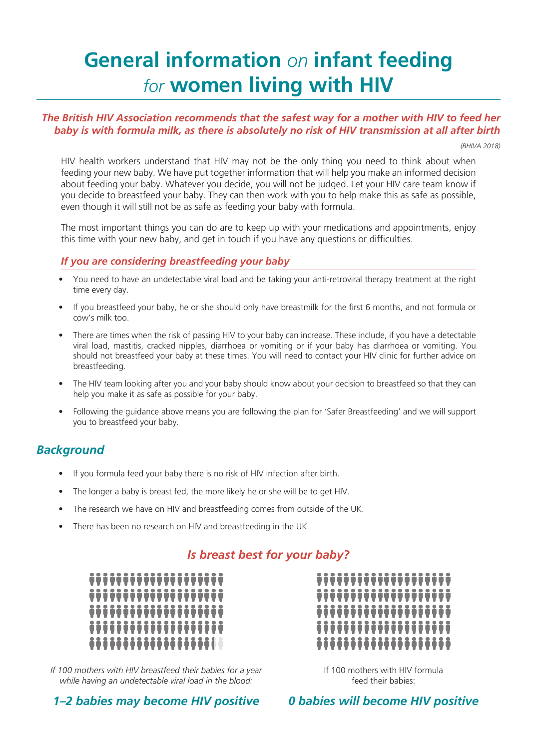# **General information** *on* **infant feeding**  *for* **women living with HIV**

#### *The British HIV Association recommends that the safest way for a mother with HIV to feed her baby is with formula milk, as there is absolutely no risk of HIV transmission at all after birth*

*(BHIVA 2018)*

HIV health workers understand that HIV may not be the only thing you need to think about when feeding your new baby. We have put together information that will help you make an informed decision about feeding your baby. Whatever you decide, you will not be judged. Let your HIV care team know if you decide to breastfeed your baby. They can then work with you to help make this as safe as possible, even though it will still not be as safe as feeding your baby with formula.

The most important things you can do are to keep up with your medications and appointments, enjoy this time with your new baby, and get in touch if you have any questions or difficulties.

#### *If you are considering breastfeeding your baby*

- You need to have an undetectable viral load and be taking your anti-retroviral therapy treatment at the right time every day.
- If you breastfeed your baby, he or she should only have breastmilk for the first 6 months, and not formula or cow's milk too.
- There are times when the risk of passing HIV to your baby can increase. These include, if you have a detectable viral load, mastitis, cracked nipples, diarrhoea or vomiting or if your baby has diarrhoea or vomiting. You should not breastfeed your baby at these times. You will need to contact your HIV clinic for further advice on breastfeeding.
- The HIV team looking after you and your baby should know about your decision to breastfeed so that they can help you make it as safe as possible for your baby.
- Following the guidance above means you are following the plan for 'Safer Breastfeeding' and we will support you to breastfeed your baby.

# *Background*

- If you formula feed your baby there is no risk of HIV infection after birth.
- The longer a baby is breast fed, the more likely he or she will be to get HIV.
- The research we have on HIV and breastfeeding comes from outside of the UK.
- There has been no research on HIV and breastfeeding in the UK

## *Is breast best for your baby?*



*If 100 mothers with HIV breastfeed their babies for a year while having an undetectable viral load in the blood:* 



If 100 mothers with HIV formula feed their babies:

*1–2 babies may become HIV positive*

*0 babies will become HIV positive*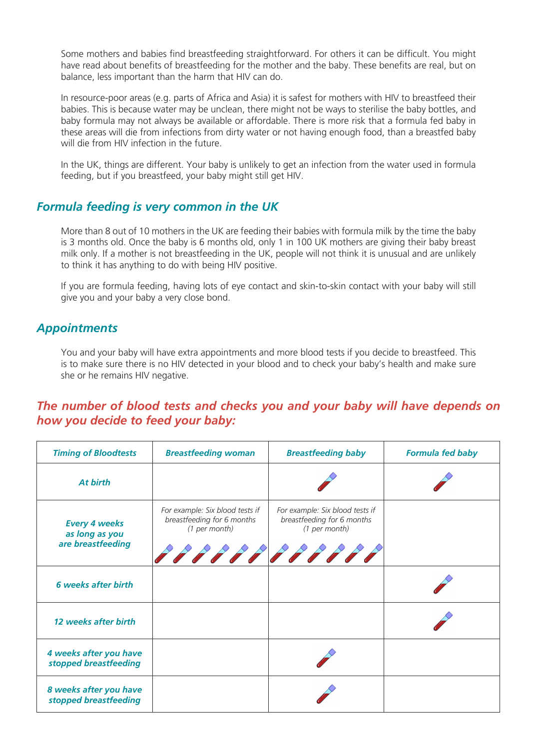Some mothers and babies find breastfeeding straightforward. For others it can be difficult. You might have read about benefits of breastfeeding for the mother and the baby. These benefits are real, but on balance, less important than the harm that HIV can do.

In resource-poor areas (e.g. parts of Africa and Asia) it is safest for mothers with HIV to breastfeed their babies. This is because water may be unclean, there might not be ways to sterilise the baby bottles, and baby formula may not always be available or affordable. There is more risk that a formula fed baby in these areas will die from infections from dirty water or not having enough food, than a breastfed baby will die from HIV infection in the future.

In the UK, things are different. Your baby is unlikely to get an infection from the water used in formula feeding, but if you breastfeed, your baby might still get HIV.

#### *Formula feeding is very common in the UK*

More than 8 out of 10 mothers in the UK are feeding their babies with formula milk by the time the baby is 3 months old. Once the baby is 6 months old, only 1 in 100 UK mothers are giving their baby breast milk only. If a mother is not breastfeeding in the UK, people will not think it is unusual and are unlikely to think it has anything to do with being HIV positive.

If you are formula feeding, having lots of eye contact and skin-to-skin contact with your baby will still give you and your baby a very close bond.

## *Appointments*

You and your baby will have extra appointments and more blood tests if you decide to breastfeed. This is to make sure there is no HIV detected in your blood and to check your baby's health and make sure she or he remains HIV negative.

#### *The number of blood tests and checks you and your baby will have depends on how you decide to feed your baby:*

| <b>Timing of Bloodtests</b>                                 | <b>Breastfeeding woman</b>                                                     | <b>Breastfeeding baby</b>                                                      | <b>Formula fed baby</b> |
|-------------------------------------------------------------|--------------------------------------------------------------------------------|--------------------------------------------------------------------------------|-------------------------|
| At birth                                                    |                                                                                |                                                                                |                         |
| <b>Every 4 weeks</b><br>as long as you<br>are breastfeeding | For example: Six blood tests if<br>breastfeeding for 6 months<br>(1 per month) | For example: Six blood tests if<br>breastfeeding for 6 months<br>(1 per month) |                         |
| <b>6</b> weeks after birth                                  |                                                                                |                                                                                |                         |
| 12 weeks after birth                                        |                                                                                |                                                                                |                         |
| 4 weeks after you have<br>stopped breastfeeding             |                                                                                |                                                                                |                         |
| 8 weeks after you have<br>stopped breastfeeding             |                                                                                |                                                                                |                         |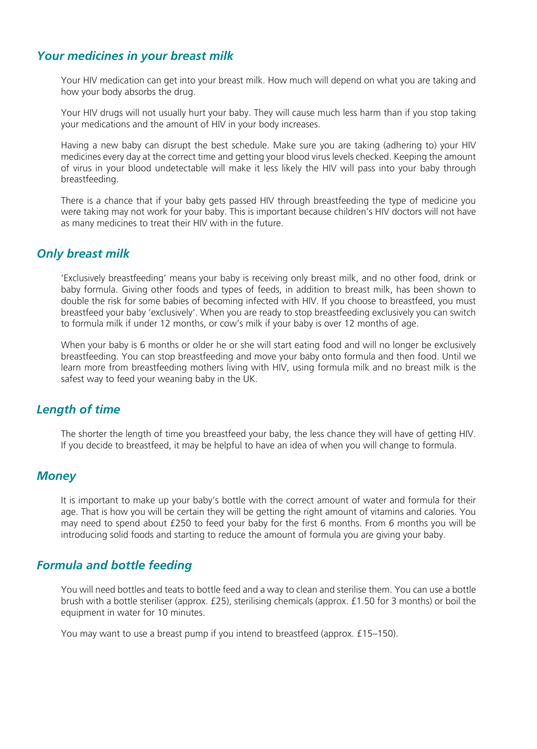## *Your medicines in your breast milk*

Your HIV medication can get into your breast milk. How much will depend on what you are taking and how your body absorbs the drug.

Your HIV drugs will not usually hurt your baby. They will cause much less harm than if you stop taking your medications and the amount of HIV in your body increases.

Having a new baby can disrupt the best schedule. Make sure you are taking (adhering to) your HIV medicines every day at the correct time and getting your blood virus levels checked. Keeping the amount of virus in your blood undetectable will make it less likely the HIV will pass into your baby through breastfeeding.

There is a chance that if your baby gets passed HIV through breastfeeding the type of medicine you were taking may not work for your baby. This is important because children's HIV doctors will not have as many medicines to treat their HIV with in the future.

## *Only breast milk*

'Exclusively breastfeeding' means your baby is receiving only breast milk, and no other food, drink or baby formula. Giving other foods and types of feeds, in addition to breast milk, has been shown to double the risk for some babies of becoming infected with HIV. If you choose to breastfeed, you must breastfeed your baby 'exclusively'. When you are ready to stop breastfeeding exclusively you can switch to formula milk if under 12 months, or cow's milk if your baby is over 12 months of age.

When your baby is 6 months or older he or she will start eating food and will no longer be exclusively breastfeeding. You can stop breastfeeding and move your baby onto formula and then food. Until we learn more from breastfeeding mothers living with HIV, using formula milk and no breast milk is the safest way to feed your weaning baby in the UK.

## *Length of time*

The shorter the length of time you breastfeed your baby, the less chance they will have of getting HIV. If you decide to breastfeed, it may be helpful to have an idea of when you will change to formula.

## *Money*

It is important to make up your baby's bottle with the correct amount of water and formula for their age. That is how you will be certain they will be getting the right amount of vitamins and calories. You may need to spend about £250 to feed your baby for the first 6 months. From 6 months you will be introducing solid foods and starting to reduce the amount of formula you are giving your baby.

## *Formula and bottle feeding*

You will need bottles and teats to bottle feed and a way to clean and sterilise them. You can use a bottle brush with a bottle steriliser (approx. £25), sterilising chemicals (approx. £1.50 for 3 months) or boil the equipment in water for 10 minutes.

You may want to use a breast pump if you intend to breastfeed (approx. £15–150).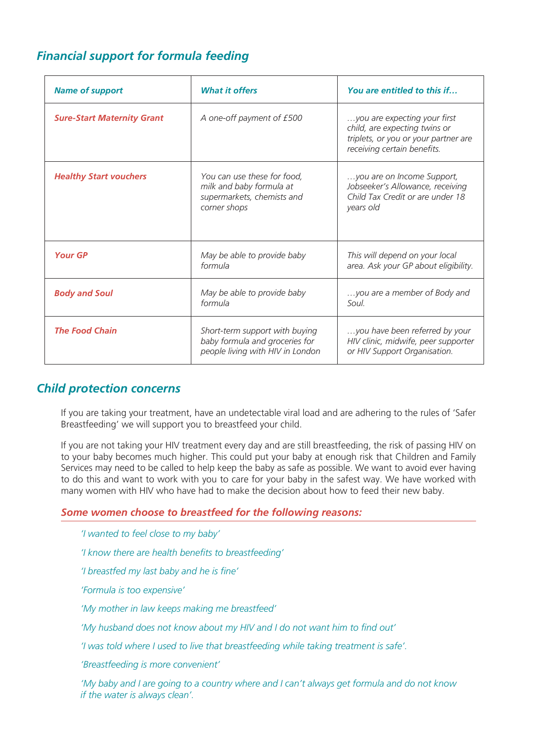# *Financial support for formula feeding*

| <b>Name of support</b>            | <b>What it offers</b>                                                                                 | You are entitled to this if                                                                                                          |
|-----------------------------------|-------------------------------------------------------------------------------------------------------|--------------------------------------------------------------------------------------------------------------------------------------|
| <b>Sure-Start Maternity Grant</b> | A one-off payment of £500                                                                             | you are expecting your first<br>child, are expecting twins or<br>triplets, or you or your partner are<br>receiving certain benefits. |
| <b>Healthy Start vouchers</b>     | You can use these for food,<br>milk and baby formula at<br>supermarkets, chemists and<br>corner shops | you are on Income Support,<br>Jobseeker's Allowance, receiving<br>Child Tax Credit or are under 18<br>years old                      |
| <b>Your GP</b>                    | May be able to provide baby<br>formula                                                                | This will depend on your local<br>area. Ask your GP about eligibility.                                                               |
| <b>Body and Soul</b>              | May be able to provide baby<br>formula                                                                | you are a member of Body and<br>Soul                                                                                                 |
| <b>The Food Chain</b>             | Short-term support with buying<br>baby formula and groceries for<br>people living with HIV in London  | you have been referred by your<br>HIV clinic, midwife, peer supporter<br>or HIV Support Organisation.                                |

## *Child protection concerns*

If you are taking your treatment, have an undetectable viral load and are adhering to the rules of 'Safer Breastfeeding' we will support you to breastfeed your child.

If you are not taking your HIV treatment every day and are still breastfeeding, the risk of passing HIV on to your baby becomes much higher. This could put your baby at enough risk that Children and Family Services may need to be called to help keep the baby as safe as possible. We want to avoid ever having to do this and want to work with you to care for your baby in the safest way. We have worked with many women with HIV who have had to make the decision about how to feed their new baby.

#### *Some women choose to breastfeed for the following reasons:*

*'I wanted to feel close to my baby' 'I know there are health benefits to breastfeeding' 'I breastfed my last baby and he is fine' 'Formula is too expensive' 'My mother in law keeps making me breastfeed' 'My husband does not know about my HIV and I do not want him to find out' 'I was told where I used to live that breastfeeding while taking treatment is safe'. 'Breastfeeding is more convenient'* 

*'My baby and I are going to a country where and I can't always get formula and do not know if the water is always clean'.*